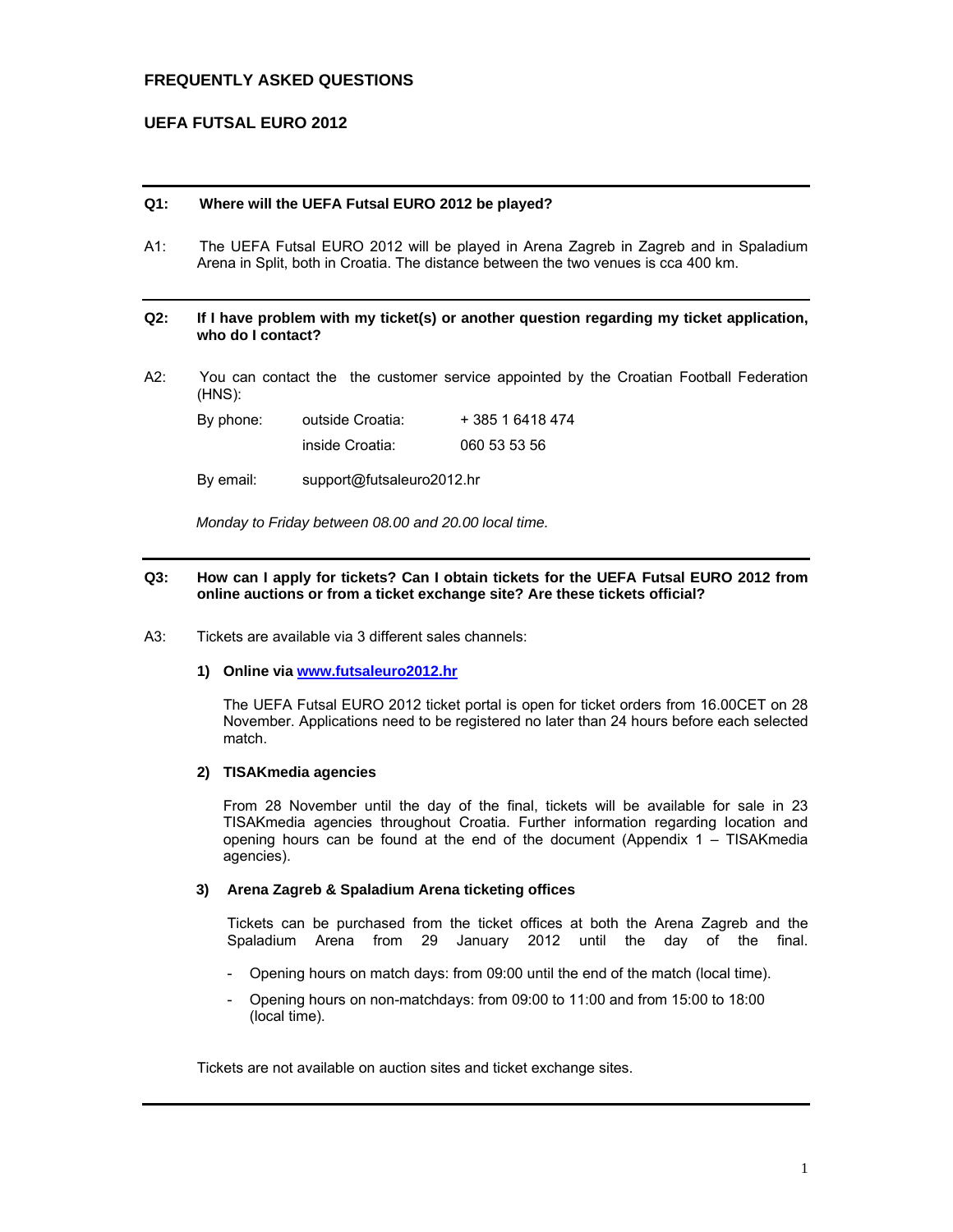# **FREQUENTLY ASKED QUESTIONS**

# **UEFA FUTSAL EURO 2012**

## **Q1: Where will the UEFA Futsal EURO 2012 be played?**

A1: The UEFA Futsal EURO 2012 will be played in Arena Zagreb in Zagreb and in Spaladium Arena in Split, both in Croatia. The distance between the two venues is cca 400 km.

### **Q2: If I have problem with my ticket(s) or another question regarding my ticket application, who do I contact?**

A2: You can contact the the customer service appointed by the Croatian Football Federation (HNS):

| By phone: | outside Croatia: | + 385 1 6418 474 |  |  |
|-----------|------------------|------------------|--|--|
|           | inside Croatia:  | 060 53 53 56     |  |  |

By email: support@futsaleuro2012.hr

*Monday to Friday between 08.00 and 20.00 local time.* 

## **Q3: How can I apply for tickets? Can I obtain tickets for the UEFA Futsal EURO 2012 from online auctions or from a ticket exchange site? Are these tickets official?**

A3: Tickets are available via 3 different sales channels:

### **1) Online via www.futsaleuro2012.hr**

The UEFA Futsal EURO 2012 ticket portal is open for ticket orders from 16.00CET on 28 November. Applications need to be registered no later than 24 hours before each selected match.

### **2) TISAKmedia agencies**

From 28 November until the day of the final, tickets will be available for sale in 23 TISAKmedia agencies throughout Croatia. Further information regarding location and opening hours can be found at the end of the document (Appendix 1 – TISAKmedia agencies).

### **3) Arena Zagreb & Spaladium Arena ticketing offices**

Tickets can be purchased from the ticket offices at both the Arena Zagreb and the Spaladium Arena from 29 January 2012 until the day of the final.

- Opening hours on match days: from 09:00 until the end of the match (local time).
- Opening hours on non-matchdays: from 09:00 to 11:00 and from 15:00 to 18:00 (local time).

Tickets are not available on auction sites and ticket exchange sites.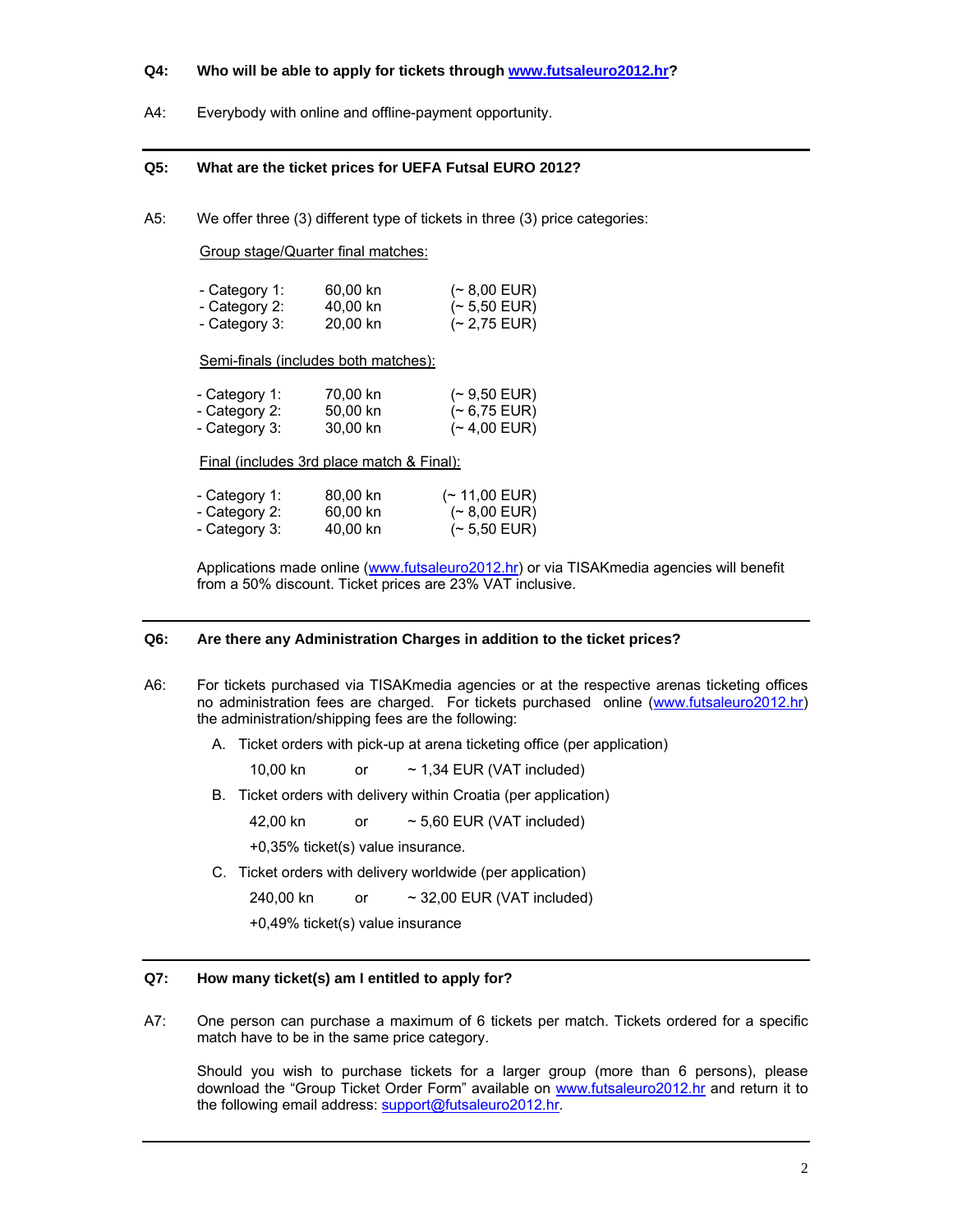## **Q4: Who will be able to apply for tickets through www.futsaleuro2012.hr?**

A4: Everybody with online and offline-payment opportunity.

### **Q5: What are the ticket prices for UEFA Futsal EURO 2012?**

A5: We offer three (3) different type of tickets in three (3) price categories:

Group stage/Quarter final matches:

| - Category 1: | 60,00 kn | $($ $\sim$ 8,00 EUR) |
|---------------|----------|----------------------|
| - Category 2: | 40,00 kn | $($ ~ 5,50 EUR)      |
| - Category 3: | 20,00 kn | $($ ~ 2,75 EUR)      |

Semi-finals (includes both matches):

| - Category 1: | 70,00 kn | $($ ~ 9,50 EUR) |
|---------------|----------|-----------------|
| - Category 2: | 50,00 kn | $($ ~ 6,75 EUR) |
| - Category 3: | 30,00 kn | $($ ~ 4,00 EUR) |

Final (includes 3rd place match & Final):

| - Category 1: | 80,00 kn | $($ ~ 11,00 EUR)     |
|---------------|----------|----------------------|
| - Category 2: | 60,00 kn | $($ $\sim$ 8,00 EUR) |
| - Category 3: | 40,00 kn | $($ ~ 5,50 EUR)      |

Applications made online (www.futsaleuro2012.hr) or via TISAKmedia agencies will benefit from a 50% discount. Ticket prices are 23% VAT inclusive.

## **Q6: Are there any Administration Charges in addition to the ticket prices?**

- A6: For tickets purchased via TISAKmedia agencies or at the respective arenas ticketing offices no administration fees are charged. For tickets purchased online (www.futsaleuro2012.hr) the administration/shipping fees are the following:
	- A. Ticket orders with pick-up at arena ticketing office (per application)

10,00 kn or ~ 1,34 EUR (VAT included)

B. Ticket orders with delivery within Croatia (per application)

42,00 kn  $\sim$  5,60 EUR (VAT included)

+0,35% ticket(s) value insurance.

C. Ticket orders with delivery worldwide (per application)

240,00 kn or ~ 32,00 EUR (VAT included)

+0,49% ticket(s) value insurance

## **Q7: How many ticket(s) am I entitled to apply for?**

A7: One person can purchase a maximum of 6 tickets per match. Tickets ordered for a specific match have to be in the same price category.

Should you wish to purchase tickets for a larger group (more than 6 persons), please download the "Group Ticket Order Form" available on www.futsaleuro2012.hr and return it to the following email address: support@futsaleuro2012.hr.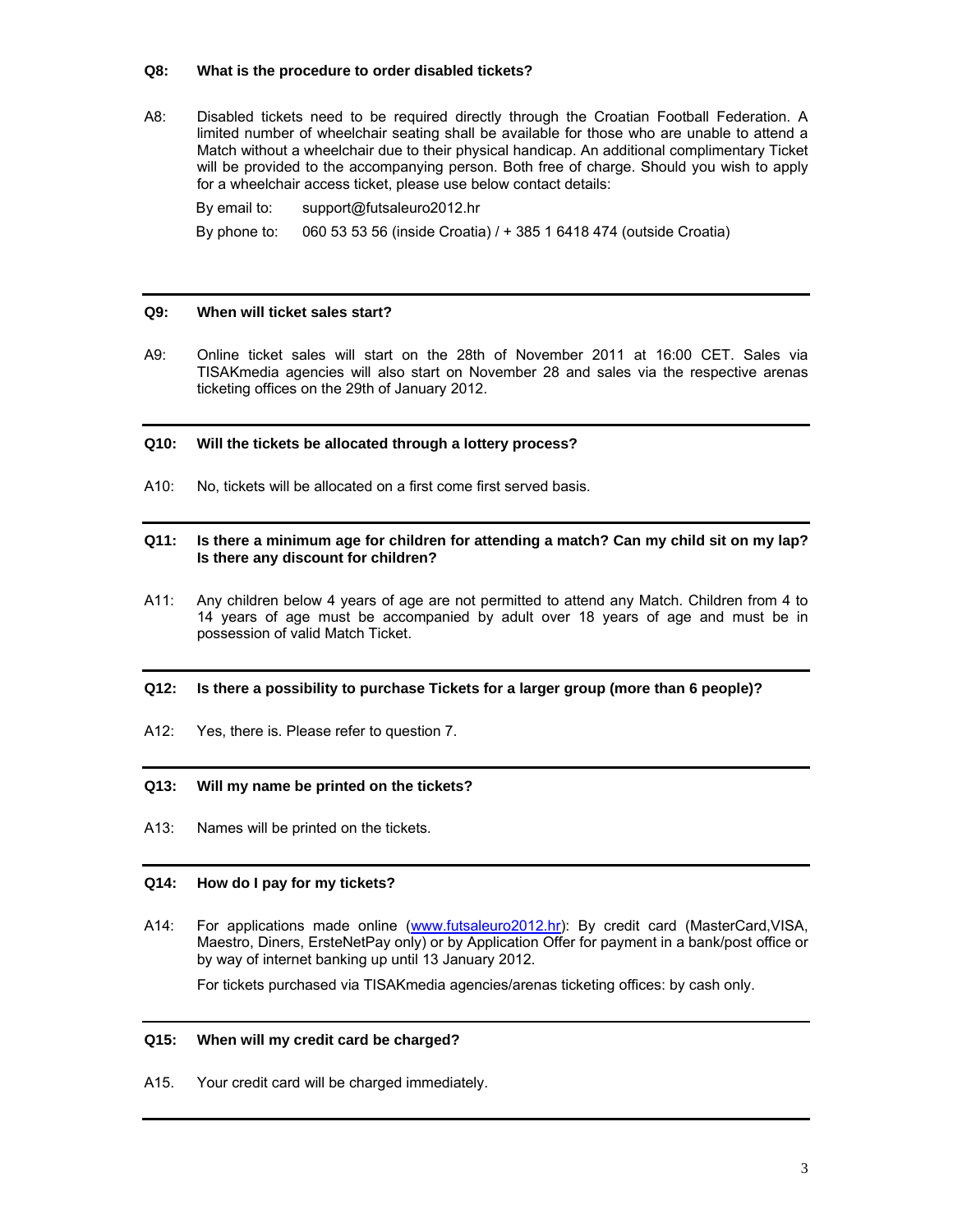## **Q8: What is the procedure to order disabled tickets?**

A8: Disabled tickets need to be required directly through the Croatian Football Federation. A limited number of wheelchair seating shall be available for those who are unable to attend a Match without a wheelchair due to their physical handicap. An additional complimentary Ticket will be provided to the accompanying person. Both free of charge. Should you wish to apply for a wheelchair access ticket, please use below contact details:

By email to: support@futsaleuro2012.hr By phone to: 060 53 53 56 (inside Croatia) / + 385 1 6418 474 (outside Croatia)

## **Q9: When will ticket sales start?**

A9: Online ticket sales will start on the 28th of November 2011 at 16:00 CET. Sales via TISAKmedia agencies will also start on November 28 and sales via the respective arenas ticketing offices on the 29th of January 2012.

## **Q10: Will the tickets be allocated through a lottery process?**

A10: No, tickets will be allocated on a first come first served basis.

### **Q11: Is there a minimum age for children for attending a match? Can my child sit on my lap? Is there any discount for children?**

A11: Any children below 4 years of age are not permitted to attend any Match. Children from 4 to 14 years of age must be accompanied by adult over 18 years of age and must be in possession of valid Match Ticket.

## **Q12: Is there a possibility to purchase Tickets for a larger group (more than 6 people)?**

A12: Yes, there is. Please refer to question 7.

## **Q13: Will my name be printed on the tickets?**

A13: Names will be printed on the tickets.

## **Q14: How do I pay for my tickets?**

A14: For applications made online (www.futsaleuro2012.hr): By credit card (MasterCard,VISA, Maestro, Diners, ErsteNetPay only) or by Application Offer for payment in a bank/post office or by way of internet banking up until 13 January 2012.

For tickets purchased via TISAKmedia agencies/arenas ticketing offices: by cash only.

## **Q15: When will my credit card be charged?**

A15. Your credit card will be charged immediately.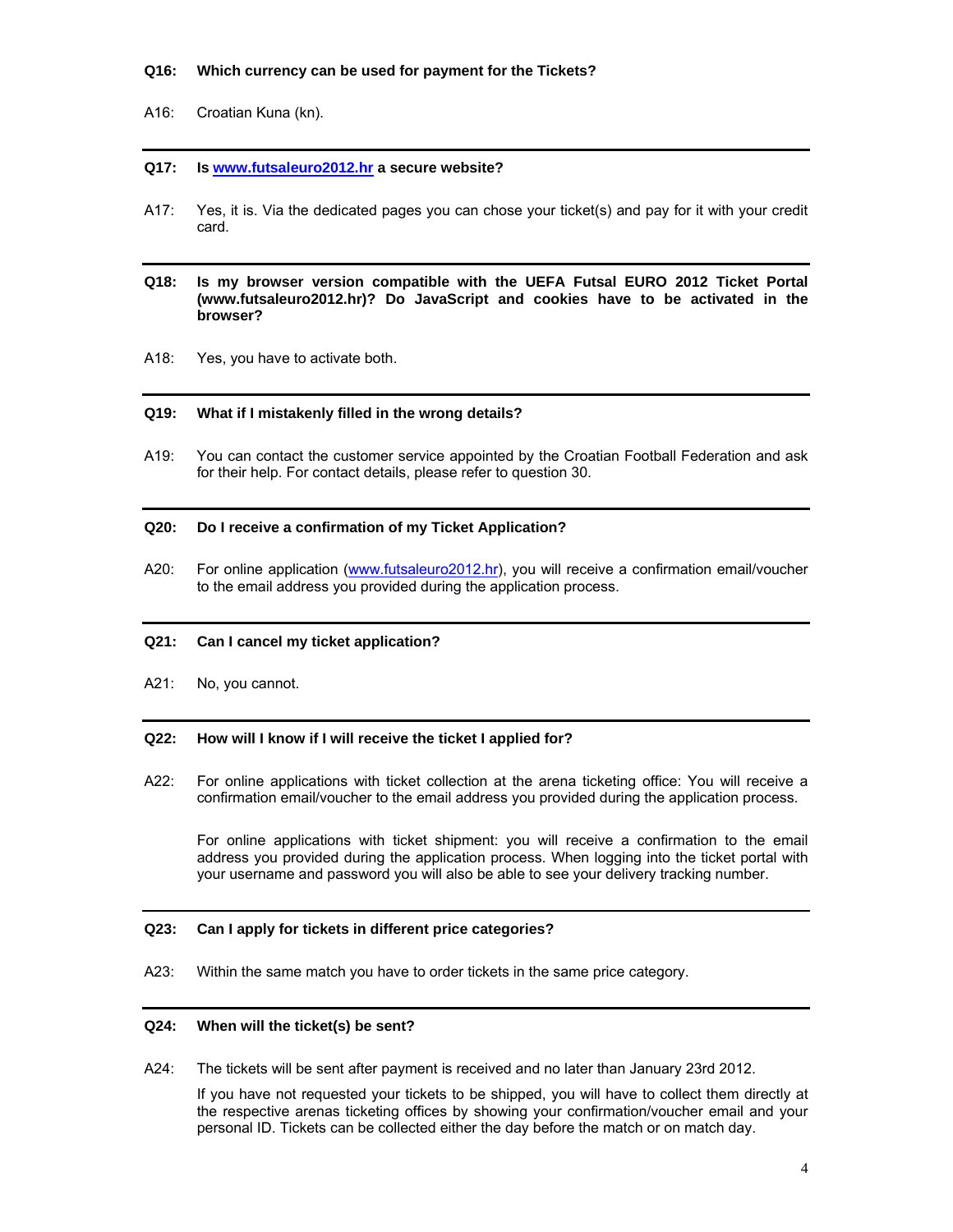### **Q16: Which currency can be used for payment for the Tickets?**

## A16: Croatian Kuna (kn).

### **Q17: Is www.futsaleuro2012.hr a secure website?**

A17: Yes, it is. Via the dedicated pages you can chose your ticket(s) and pay for it with your credit card.

## **Q18: Is my browser version compatible with the UEFA Futsal EURO 2012 Ticket Portal (www.futsaleuro2012.hr)? Do JavaScript and cookies have to be activated in the browser?**

A18: Yes, you have to activate both.

#### **Q19: What if I mistakenly filled in the wrong details?**

A19: You can contact the customer service appointed by the Croatian Football Federation and ask for their help. For contact details, please refer to question 30.

### **Q20: Do I receive a confirmation of my Ticket Application?**

A20: For online application (www.futsaleuro2012.hr), you will receive a confirmation email/voucher to the email address you provided during the application process.

## **Q21: Can I cancel my ticket application?**

A21: No, you cannot.

### **Q22: How will I know if I will receive the ticket I applied for?**

A22: For online applications with ticket collection at the arena ticketing office: You will receive a confirmation email/voucher to the email address you provided during the application process.

 For online applications with ticket shipment: you will receive a confirmation to the email address you provided during the application process. When logging into the ticket portal with your username and password you will also be able to see your delivery tracking number.

## **Q23: Can I apply for tickets in different price categories?**

A23: Within the same match you have to order tickets in the same price category.

## **Q24: When will the ticket(s) be sent?**

A24: The tickets will be sent after payment is received and no later than January 23rd 2012.

If you have not requested your tickets to be shipped, you will have to collect them directly at the respective arenas ticketing offices by showing your confirmation/voucher email and your personal ID. Tickets can be collected either the day before the match or on match day.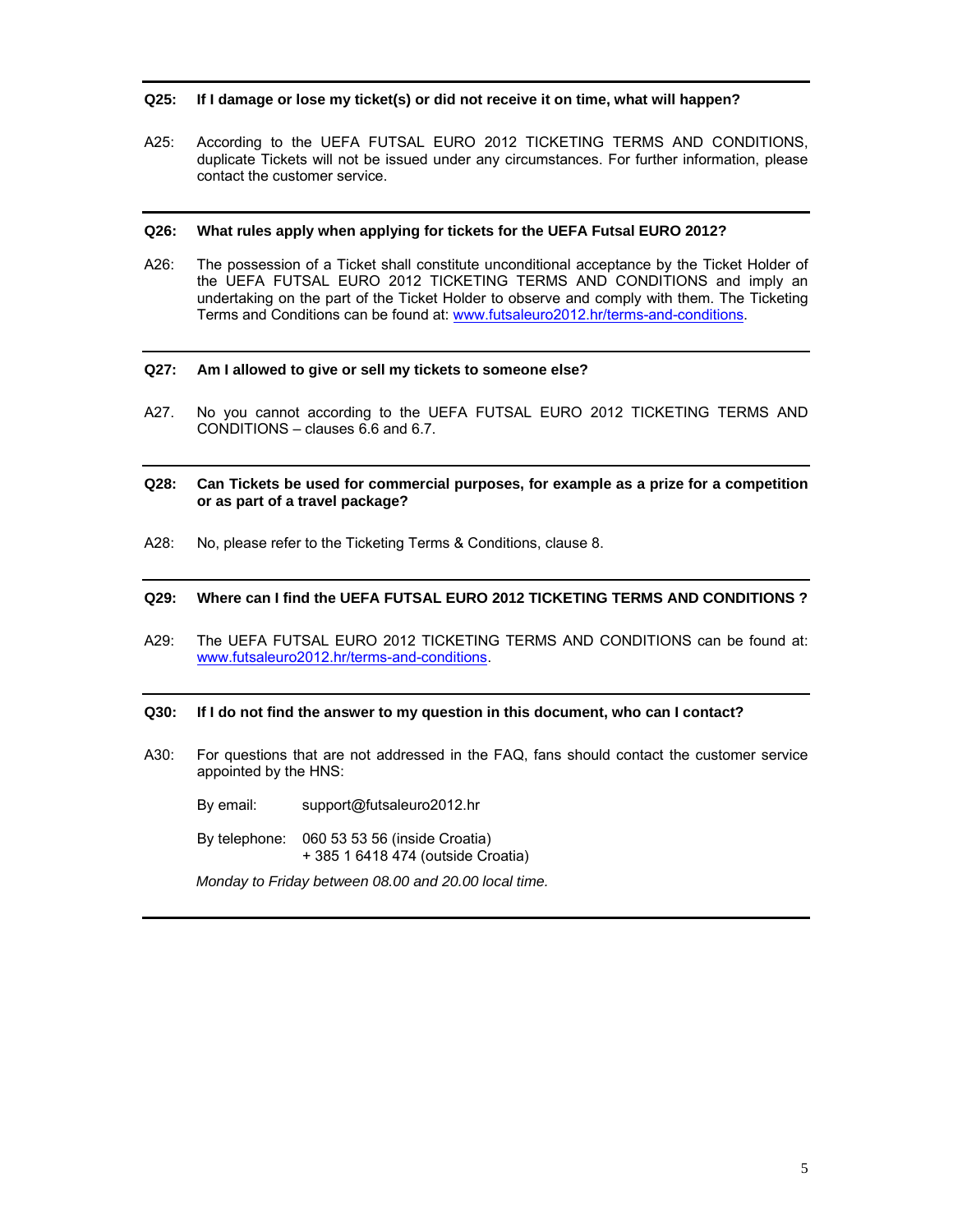#### **Q25: If I damage or lose my ticket(s) or did not receive it on time, what will happen?**

A25: According to the UEFA FUTSAL EURO 2012 TICKETING TERMS AND CONDITIONS, duplicate Tickets will not be issued under any circumstances. For further information, please contact the customer service.

### **Q26: What rules apply when applying for tickets for the UEFA Futsal EURO 2012?**

A26: The possession of a Ticket shall constitute unconditional acceptance by the Ticket Holder of the UEFA FUTSAL EURO 2012 TICKETING TERMS AND CONDITIONS and imply an undertaking on the part of the Ticket Holder to observe and comply with them. The Ticketing Terms and Conditions can be found at: www.futsaleuro2012.hr/terms-and-conditions.

#### **Q27: Am I allowed to give or sell my tickets to someone else?**

- A27. No you cannot according to the UEFA FUTSAL EURO 2012 TICKETING TERMS AND CONDITIONS – clauses 6.6 and 6.7.
- **Q28: Can Tickets be used for commercial purposes, for example as a prize for a competition or as part of a travel package?**
- A28: No, please refer to the Ticketing Terms & Conditions, clause 8.

## **Q29: Where can I find the UEFA FUTSAL EURO 2012 TICKETING TERMS AND CONDITIONS ?**

A29: The UEFA FUTSAL EURO 2012 TICKETING TERMS AND CONDITIONS can be found at: www.futsaleuro2012.hr/terms-and-conditions.

#### **Q30: If I do not find the answer to my question in this document, who can I contact?**

A30: For questions that are not addressed in the FAQ, fans should contact the customer service appointed by the HNS:

By email: support@futsaleuro2012.hr

 By telephone: 060 53 53 56 (inside Croatia) + 385 1 6418 474 (outside Croatia)

*Monday to Friday between 08.00 and 20.00 local time.*